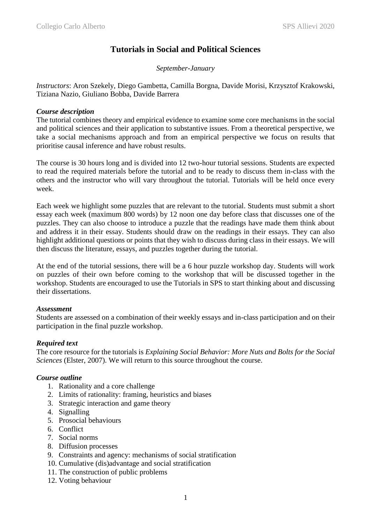## **Tutorials in Social and Political Sciences**

### *September-January*

*Instructors*: Aron Szekely, Diego Gambetta, Camilla Borgna, Davide Morisi, Krzysztof Krakowski, Tiziana Nazio, Giuliano Bobba, Davide Barrera

#### *Course description*

The tutorial combines theory and empirical evidence to examine some core mechanisms in the social and political sciences and their application to substantive issues. From a theoretical perspective, we take a social mechanisms approach and from an empirical perspective we focus on results that prioritise causal inference and have robust results.

The course is 30 hours long and is divided into 12 two-hour tutorial sessions. Students are expected to read the required materials before the tutorial and to be ready to discuss them in-class with the others and the instructor who will vary throughout the tutorial. Tutorials will be held once every week.

Each week we highlight some puzzles that are relevant to the tutorial. Students must submit a short essay each week (maximum 800 words) by 12 noon one day before class that discusses one of the puzzles. They can also choose to introduce a puzzle that the readings have made them think about and address it in their essay. Students should draw on the readings in their essays. They can also highlight additional questions or points that they wish to discuss during class in their essays. We will then discuss the literature, essays, and puzzles together during the tutorial.

At the end of the tutorial sessions, there will be a 6 hour puzzle workshop day. Students will work on puzzles of their own before coming to the workshop that will be discussed together in the workshop. Students are encouraged to use the Tutorials in SPS to start thinking about and discussing their dissertations.

#### *Assessment*

Students are assessed on a combination of their weekly essays and in-class participation and on their participation in the final puzzle workshop.

#### *Required text*

The core resource for the tutorials is *Explaining Social Behavior: More Nuts and Bolts for the Social Sciences* (Elster, 2007). We will return to this source throughout the course.

#### *Course outline*

- 1. Rationality and a core challenge
- 2. Limits of rationality: framing, heuristics and biases
- 3. Strategic interaction and game theory
- 4. Signalling
- 5. Prosocial behaviours
- 6. Conflict
- 7. Social norms
- 8. Diffusion processes
- 9. Constraints and agency: mechanisms of social stratification
- 10. Cumulative (dis)advantage and social stratification
- 11. The construction of public problems
- 12. Voting behaviour